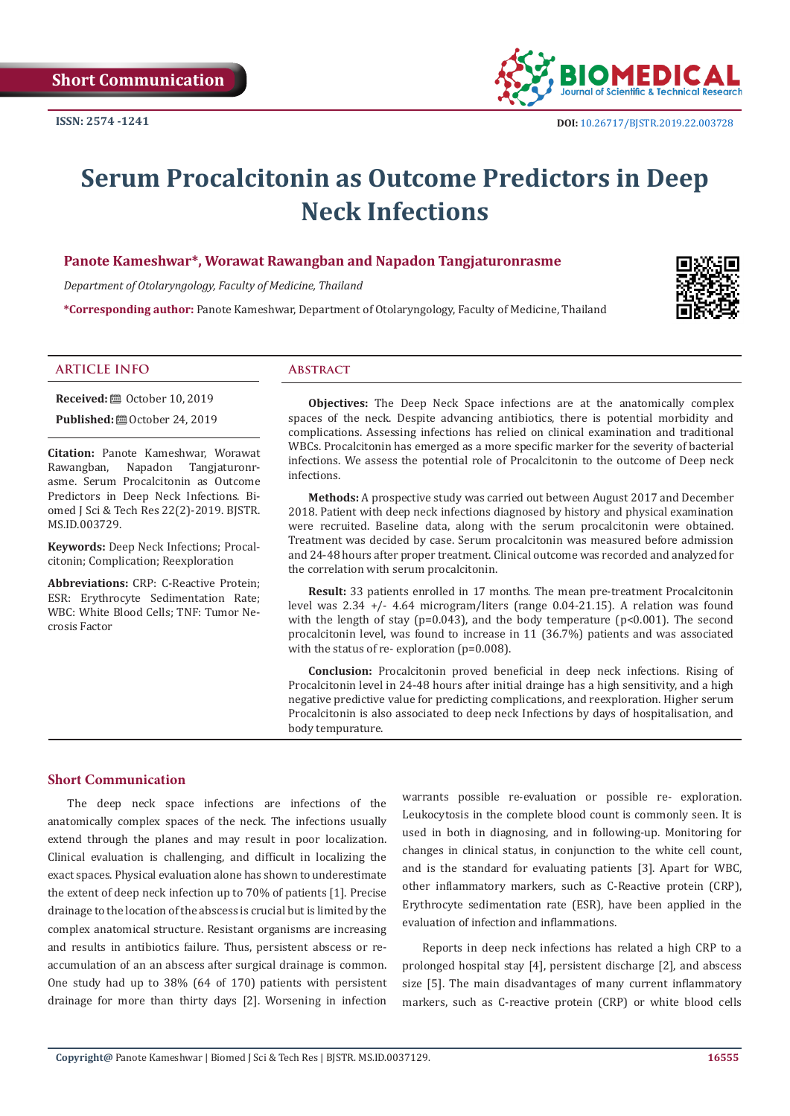

# **Serum Procalcitonin as Outcome Predictors in Deep Neck Infections**

## **Panote Kameshwar\*, Worawat Rawangban and Napadon Tangjaturonrasme**

*Department of Otolaryngology, Faculty of Medicine, Thailand*

**\*Corresponding author:** Panote Kameshwar, Department of Otolaryngology, Faculty of Medicine, Thailand



#### **ARTICLE INFO Abstract**

**Received:** ■ October 10, 2019

**Published:**  $\blacksquare$  October 24, 2019

**Citation:** Panote Kameshwar, Worawat Rawangban, Napadon asme. Serum Procalcitonin as Outcome Predictors in Deep Neck Infections. Biomed J Sci & Tech Res 22(2)-2019. BJSTR. MS.ID.003729.

**Keywords:** Deep Neck Infections; Procalcitonin; Complication; Reexploration

**Abbreviations:** CRP: C-Reactive Protein; ESR: Erythrocyte Sedimentation Rate; WBC: White Blood Cells; TNF: Tumor Necrosis Factor

**Objectives:** The Deep Neck Space infections are at the anatomically complex spaces of the neck. Despite advancing antibiotics, there is potential morbidity and complications. Assessing infections has relied on clinical examination and traditional WBCs. Procalcitonin has emerged as a more specific marker for the severity of bacterial infections. We assess the potential role of Procalcitonin to the outcome of Deep neck infections.

**Methods:** A prospective study was carried out between August 2017 and December 2018. Patient with deep neck infections diagnosed by history and physical examination were recruited. Baseline data, along with the serum procalcitonin were obtained. Treatment was decided by case. Serum procalcitonin was measured before admission and 24-48 hours after proper treatment. Clinical outcome was recorded and analyzed for the correlation with serum procalcitonin.

**Result:** 33 patients enrolled in 17 months. The mean pre-treatment Procalcitonin level was 2.34 +/- 4.64 microgram/liters (range 0.04-21.15). A relation was found with the length of stay (p=0.043), and the body temperature (p<0.001). The second procalcitonin level, was found to increase in 11 (36.7%) patients and was associated with the status of re- exploration (p=0.008).

**Conclusion:** Procalcitonin proved beneficial in deep neck infections. Rising of Procalcitonin level in 24-48 hours after initial drainge has a high sensitivity, and a high negative predictive value for predicting complications, and reexploration. Higher serum Procalcitonin is also associated to deep neck Infections by days of hospitalisation, and body tempurature.

## **Short Communication**

The deep neck space infections are infections of the anatomically complex spaces of the neck. The infections usually extend through the planes and may result in poor localization. Clinical evaluation is challenging, and difficult in localizing the exact spaces. Physical evaluation alone has shown to underestimate the extent of deep neck infection up to 70% of patients [1]. Precise drainage to the location of the abscess is crucial but is limited by the complex anatomical structure. Resistant organisms are increasing and results in antibiotics failure. Thus, persistent abscess or reaccumulation of an an abscess after surgical drainage is common. One study had up to 38% (64 of 170) patients with persistent drainage for more than thirty days [2]. Worsening in infection

warrants possible re-evaluation or possible re- exploration. Leukocytosis in the complete blood count is commonly seen. It is used in both in diagnosing, and in following-up. Monitoring for changes in clinical status, in conjunction to the white cell count, and is the standard for evaluating patients [3]. Apart for WBC, other inflammatory markers, such as C-Reactive protein (CRP), Erythrocyte sedimentation rate (ESR), have been applied in the evaluation of infection and inflammations.

Reports in deep neck infections has related a high CRP to a prolonged hospital stay [4], persistent discharge [2], and abscess size [5]. The main disadvantages of many current inflammatory markers, such as C-reactive protein (CRP) or white blood cells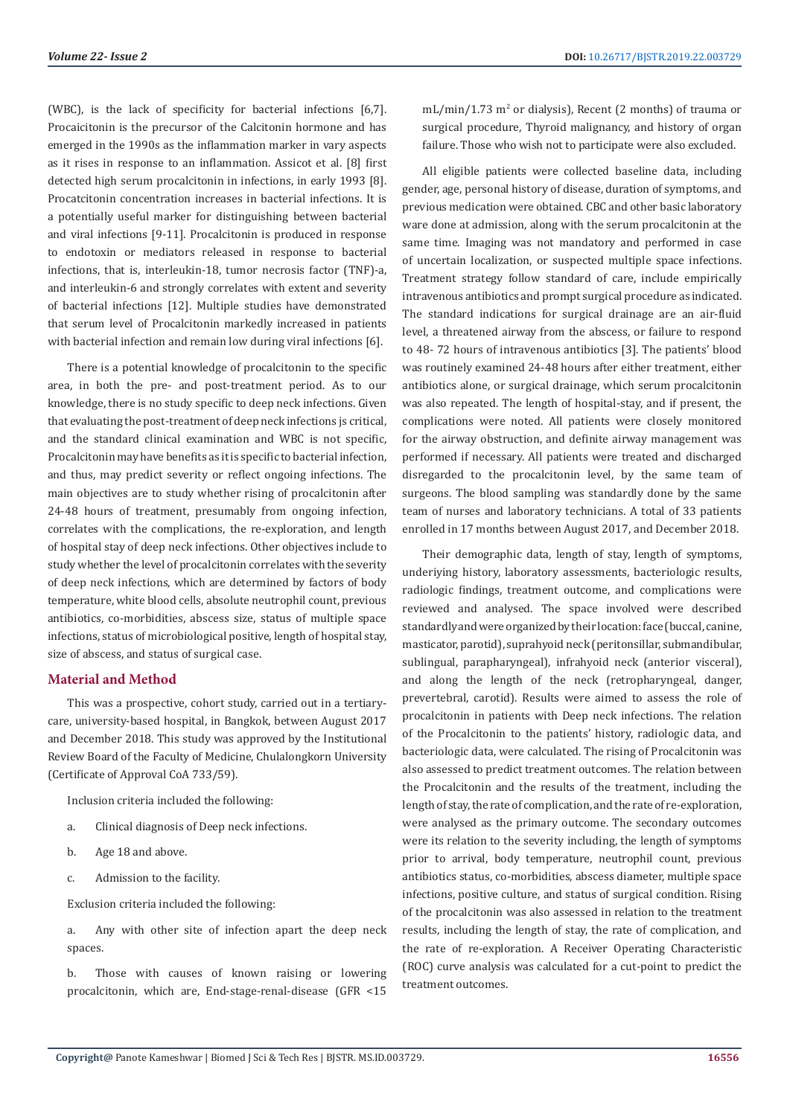(WBC), is the lack of specificity for bacterial infections [6,7]. Procaicitonin is the precursor of the Calcitonin hormone and has emerged in the 1990s as the inflammation marker in vary aspects as it rises in response to an inflammation. Assicot et al. [8] first detected high serum procalcitonin in infections, in early 1993 [8]. Procatcitonin concentration increases in bacterial infections. It is a potentially useful marker for distinguishing between bacterial and viral infections [9-11]. Procalcitonin is produced in response to endotoxin or mediators released in response to bacterial infections, that is, interleukin-18, tumor necrosis factor (TNF)-a, and interleukin-6 and strongly correlates with extent and severity of bacterial infections [12]. Multiple studies have demonstrated that serum level of Procalcitonin markedly increased in patients with bacterial infection and remain low during viral infections [6].

There is a potential knowledge of procalcitonin to the specific area, in both the pre- and post-treatment period. As to our knowledge, there is no study specific to deep neck infections. Given that evaluating the post-treatment of deep neck infections js critical, and the standard clinical examination and WBC is not specific, Procalcitonin may have benefits as it is specific to bacterial infection, and thus, may predict severity or reflect ongoing infections. The main objectives are to study whether rising of procalcitonin after 24-48 hours of treatment, presumably from ongoing infection, correlates with the complications, the re-exploration, and length of hospital stay of deep neck infections. Other objectives include to study whether the level of procalcitonin correlates with the severity of deep neck infections, which are determined by factors of body temperature, white blood cells, absolute neutrophil count, previous antibiotics, co-morbidities, abscess size, status of multiple space infections, status of microbiological positive, length of hospital stay, size of abscess, and status of surgical case.

# **Material and Method**

This was a prospective, cohort study, carried out in a tertiarycare, university-based hospital, in Bangkok, between August 2017 and December 2018. This study was approved by the Institutional Review Board of the Faculty of Medicine, Chulalongkorn University (Certificate of Approval CoA 733/59).

Inclusion criteria included the following:

- a. Clinical diagnosis of Deep neck infections.
- b. Age 18 and above.
- c. Admission to the facility.

Exclusion criteria included the following:

a. Any with other site of infection apart the deep neck spaces.

b. Those with causes of known raising or lowering procalcitonin, which are, End-stage-renal-disease (GFR <15

mL/min/1.73 m<sup>2</sup> or dialysis), Recent (2 months) of trauma or surgical procedure, Thyroid malignancy, and history of organ failure. Those who wish not to participate were also excluded.

All eligible patients were collected baseline data, including gender, age, personal history of disease, duration of symptoms, and previous medication were obtained. CBC and other basic laboratory ware done at admission, along with the serum procalcitonin at the same time. Imaging was not mandatory and performed in case of uncertain localization, or suspected multiple space infections. Treatment strategy follow standard of care, include empirically intravenous antibiotics and prompt surgical procedure as indicated. The standard indications for surgical drainage are an air-fluid level, a threatened airway from the abscess, or failure to respond to 48- 72 hours of intravenous antibiotics [3]. The patients' blood was routinely examined 24-48 hours after either treatment, either antibiotics alone, or surgical drainage, which serum procalcitonin was also repeated. The length of hospital-stay, and if present, the complications were noted. All patients were closely monitored for the airway obstruction, and definite airway management was performed if necessary. All patients were treated and discharged disregarded to the procalcitonin level, by the same team of surgeons. The blood sampling was standardly done by the same team of nurses and laboratory technicians. A total of 33 patients enrolled in 17 months between August 2017, and December 2018.

Their demographic data, length of stay, length of symptoms, underiying history, laboratory assessments, bacteriologic results, radiologic findings, treatment outcome, and complications were reviewed and analysed. The space involved were described standardly and were organized by their location: face (buccal, canine, masticator, parotid), suprahyoid neck (peritonsillar, submandibular, sublingual, parapharyngeal), infrahyoid neck (anterior visceral), and along the length of the neck (retropharyngeal, danger, prevertebral, carotid). Results were aimed to assess the role of procalcitonin in patients with Deep neck infections. The relation of the Procalcitonin to the patients' history, radiologic data, and bacteriologic data, were calculated. The rising of Procalcitonin was also assessed to predict treatment outcomes. The relation between the Procalcitonin and the results of the treatment, including the length of stay, the rate of complication, and the rate of re-exploration, were analysed as the primary outcome. The secondary outcomes were its relation to the severity including, the length of symptoms prior to arrival, body temperature, neutrophil count, previous antibiotics status, co-morbidities, abscess diameter, multiple space infections, positive culture, and status of surgical condition. Rising of the procalcitonin was also assessed in relation to the treatment results, including the length of stay, the rate of complication, and the rate of re-exploration. A Receiver Operating Characteristic (ROC) curve analysis was calculated for a cut-point to predict the treatment outcomes.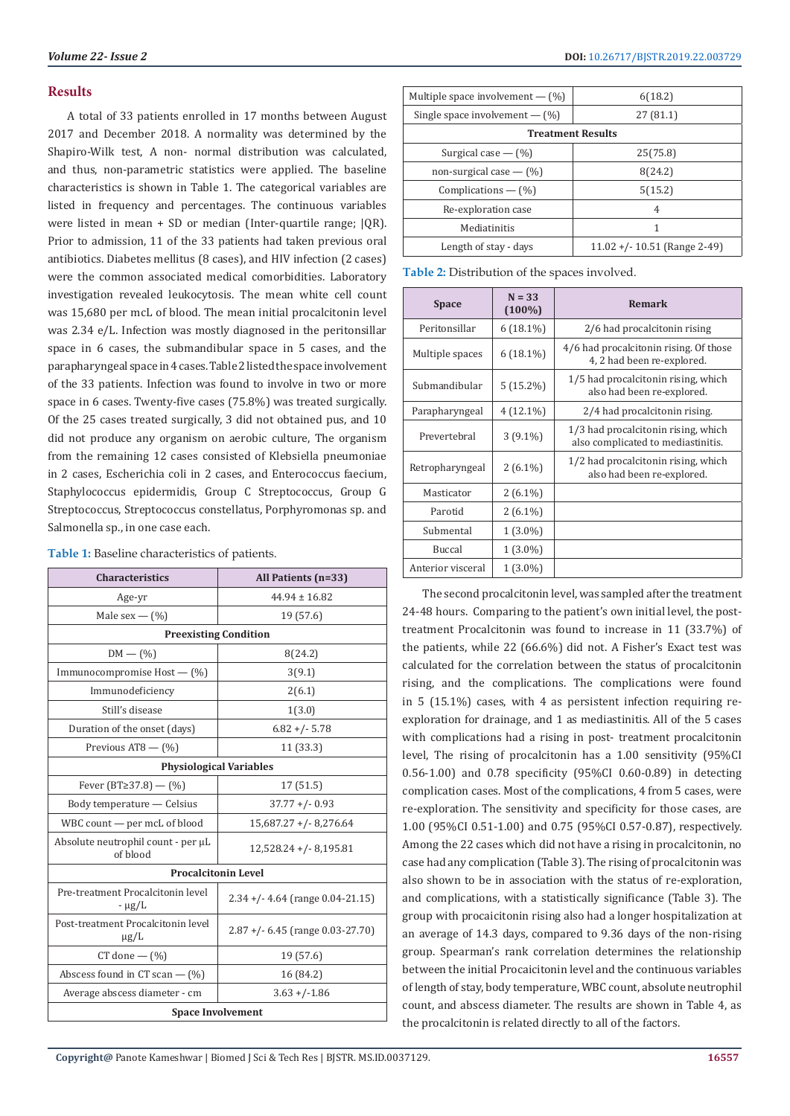## **Results**

A total of 33 patients enrolled in 17 months between August 2017 and December 2018. A normality was determined by the Shapiro-Wilk test, A non- normal distribution was calculated, and thus, non-parametric statistics were applied. The baseline characteristics is shown in Table 1. The categorical variables are listed in frequency and percentages. The continuous variables were listed in mean + SD or median (Inter-quartile range; |QR). Prior to admission, 11 of the 33 patients had taken previous oral antibiotics. Diabetes mellitus (8 cases), and HIV infection (2 cases) were the common associated medical comorbidities. Laboratory investigation revealed leukocytosis. The mean white cell count was 15,680 per mcL of blood. The mean initial procalcitonin level was 2.34 e/L. Infection was mostly diagnosed in the peritonsillar space in 6 cases, the submandibular space in 5 cases, and the parapharyngeal space in 4 cases. Table 2 listed the space involvement of the 33 patients. Infection was found to involve in two or more space in 6 cases. Twenty-five cases (75.8%) was treated surgically. Of the 25 cases treated surgically, 3 did not obtained pus, and 10 did not produce any organism on aerobic culture, The organism from the remaining 12 cases consisted of Klebsiella pneumoniae in 2 cases, Escherichia coli in 2 cases, and Enterococcus faecium, Staphylococcus epidermidis, Group C Streptococcus, Group G Streptococcus, Streptococcus constellatus, Porphyromonas sp. and Salmonella sp., in one case each.

| <b>Characteristics</b>                          | All Patients (n=33)                 |  |  |  |
|-------------------------------------------------|-------------------------------------|--|--|--|
| Age-yr                                          | $44.94 \pm 16.82$                   |  |  |  |
| Male sex $ (\%)$                                | 19 (57.6)                           |  |  |  |
| <b>Preexisting Condition</b>                    |                                     |  |  |  |
| $DM - (\%)$<br>8(24.2)                          |                                     |  |  |  |
| Immunocompromise Host - (%)                     | 3(9.1)                              |  |  |  |
| Immunodeficiency                                | 2(6.1)                              |  |  |  |
| Still's disease                                 | 1(3.0)                              |  |  |  |
| Duration of the onset (days)                    | $6.82 + (-5.78)$                    |  |  |  |
| Previous AT8 - (%)                              | 11 (33.3)                           |  |  |  |
| <b>Physiological Variables</b>                  |                                     |  |  |  |
| Fever (BT≥37.8) – (%)                           | 17(51.5)                            |  |  |  |
| Body temperature - Celsius                      | $37.77 + (-0.93)$                   |  |  |  |
| WBC count — per mcL of blood                    | $15,687.27 + (-8,276.64)$           |  |  |  |
| Absolute neutrophil count - per µL<br>of blood  | $12,528.24 + (-8,195.81)$           |  |  |  |
|                                                 | <b>Procalcitonin Level</b>          |  |  |  |
| Pre-treatment Procalcitonin level<br>$-\mu$ g/L | 2.34 +/- 4.64 (range 0.04-21.15)    |  |  |  |
| Post-treatment Procalcitonin level<br>$\mu$ g/L | $2.87 + (-6.45)$ (range 0.03-27.70) |  |  |  |
| $CT$ done $ (\%)$                               | 19 (57.6)                           |  |  |  |
| Abscess found in CT scan $ \left(\% \right)$    | 16 (84.2)                           |  |  |  |
| Average abscess diameter - cm                   | $3.63 + (-1.86)$                    |  |  |  |
| <b>Space Involvement</b>                        |                                     |  |  |  |

**Table 1:** Baseline characteristics of patients.

| Multiple space involvement $-(\%)$<br>6(18.2) |  |  |  |
|-----------------------------------------------|--|--|--|
| 27(81.1)                                      |  |  |  |
| <b>Treatment Results</b>                      |  |  |  |
| 25(75.8)                                      |  |  |  |
| 8(24.2)                                       |  |  |  |
| 5(15.2)                                       |  |  |  |
| 4                                             |  |  |  |
| 1                                             |  |  |  |
| $11.02 + (-10.51)$ (Range 2-49)               |  |  |  |
|                                               |  |  |  |

**Table 2:** Distribution of the spaces involved.

| <b>Space</b>      | $N = 33$<br>$(100\%)$ | Remark                                                                    |
|-------------------|-----------------------|---------------------------------------------------------------------------|
| Peritonsillar     | $6(18.1\%)$           | 2/6 had procalcitonin rising                                              |
| Multiple spaces   | $6(18.1\%)$           | 4/6 had procalcitonin rising. Of those<br>4, 2 had been re-explored.      |
| Submandibular     | $5(15.2\%)$           | 1/5 had procalcitonin rising, which<br>also had been re-explored.         |
| Parapharyngeal    | 4 (12.1%)             | 2/4 had procalcitonin rising.                                             |
| Prevertebral      | $3(9.1\%)$            | 1/3 had procalcitonin rising, which<br>also complicated to mediastinitis. |
| Retropharyngeal   | $2(6.1\%)$            | 1/2 had procalcitonin rising, which<br>also had been re-explored.         |
| Masticator        | $2(6.1\%)$            |                                                                           |
| Parotid           | $2(6.1\%)$            |                                                                           |
| Submental         | $1(3.0\%)$            |                                                                           |
| <b>Buccal</b>     | $1(3.0\%)$            |                                                                           |
| Anterior visceral | $1(3.0\%)$            |                                                                           |

The second procalcitonin level, was sampled after the treatment 24-48 hours. Comparing to the patient's own initial level, the posttreatment Procalcitonin was found to increase in 11 (33.7%) of the patients, while 22 (66.6%) did not. A Fisher's Exact test was calculated for the correlation between the status of procalcitonin rising, and the complications. The complications were found in 5 (15.1%) cases, with 4 as persistent infection requiring reexploration for drainage, and 1 as mediastinitis. All of the 5 cases with complications had a rising in post- treatment procalcitonin level, The rising of procalcitonin has a 1.00 sensitivity (95%CI 0.56-1.00) and 0.78 specificity (95%CI 0.60-0.89) in detecting complication cases. Most of the complications, 4 from 5 cases, were re-exploration. The sensitivity and specificity for those cases, are 1.00 (95%CI 0.51-1.00) and 0.75 (95%CI 0.57-0.87), respectively. Among the 22 cases which did not have a rising in procalcitonin, no case had any complication (Table 3). The rising of procalcitonin was also shown to be in association with the status of re-exploration, and complications, with a statistically significance (Table 3). The group with procaicitonin rising also had a longer hospitalization at an average of 14.3 days, compared to 9.36 days of the non-rising group. Spearman's rank correlation determines the relationship between the initial Procaicitonin level and the continuous variables of length of stay, body temperature, WBC count, absolute neutrophil count, and abscess diameter. The results are shown in Table 4, as the procalcitonin is related directly to all of the factors.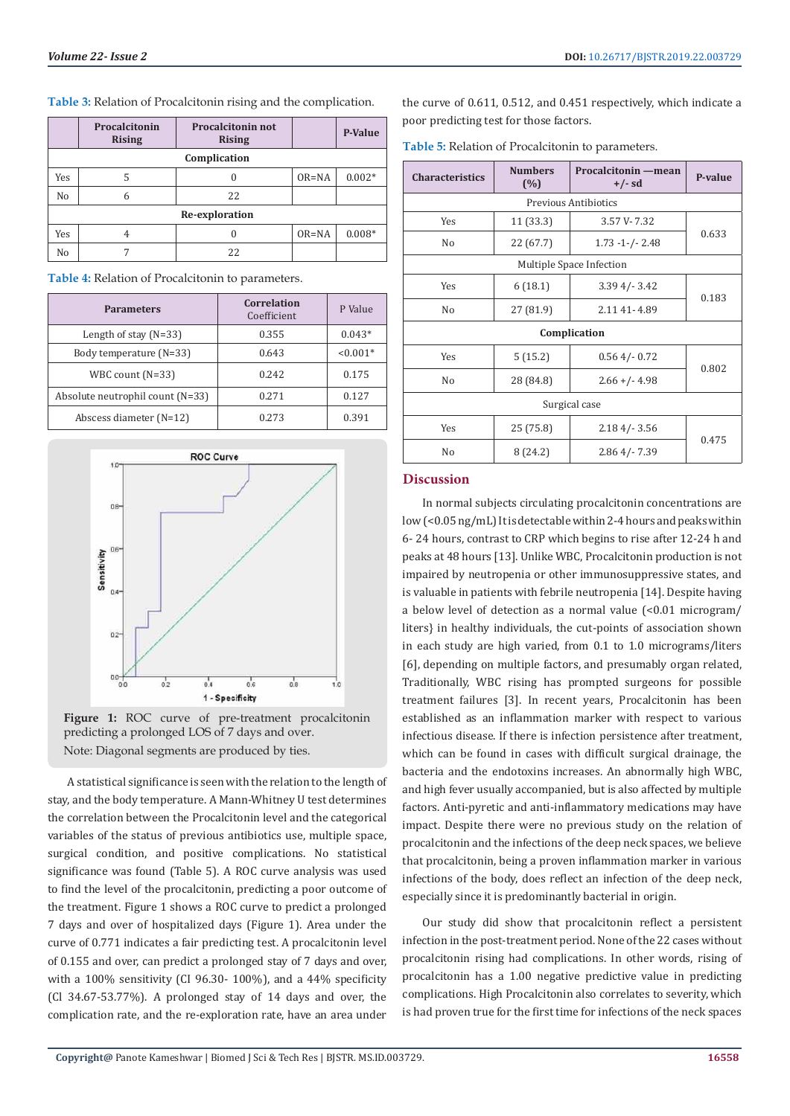| Table 3: Relation of Procalcitonin rising and the complication. |  |  |
|-----------------------------------------------------------------|--|--|
|-----------------------------------------------------------------|--|--|

|                | Procalcitonin<br><b>Rising</b> | <b>Procalcitonin not</b><br><b>Rising</b> |           | <b>P-Value</b> |
|----------------|--------------------------------|-------------------------------------------|-----------|----------------|
| Complication   |                                |                                           |           |                |
| Yes            | 5                              | 0                                         | $OR = NA$ | $0.002*$       |
| No             | 6                              | 22                                        |           |                |
| Re-exploration |                                |                                           |           |                |
| Yes            |                                | O                                         | $OR = NA$ | $0.008*$       |
| No             |                                | 22                                        |           |                |

**Table 4:** Relation of Procalcitonin to parameters.

| <b>Parameters</b>                | Correlation<br>Coefficient | P Value    |
|----------------------------------|----------------------------|------------|
| Length of stay $(N=33)$          | 0.355                      | $0.043*$   |
| Body temperature (N=33)          | 0.643                      | $< 0.001*$ |
| WBC count (N=33)                 | 0.242                      | 0.175      |
| Absolute neutrophil count (N=33) | 0.271                      | 0.127      |
| Abscess diameter $(N=12)$        | 0.273                      | 0.391      |



**Figure 1:** ROC curve of pre-treatment procalcitonin predicting a prolonged LOS of 7 days and over. Note: Diagonal segments are produced by ties.

A statistical significance is seen with the relation to the length of stay, and the body temperature. A Mann-Whitney U test determines the correlation between the Procalcitonin level and the categorical variables of the status of previous antibiotics use, multiple space, surgical condition, and positive complications. No statistical significance was found (Table 5). A ROC curve analysis was used to find the level of the procalcitonin, predicting a poor outcome of the treatment. Figure 1 shows a ROC curve to predict a prolonged 7 days and over of hospitalized days (Figure 1). Area under the curve of 0.771 indicates a fair predicting test. A procalcitonin level of 0.155 and over, can predict a prolonged stay of 7 days and over, with a 100% sensitivity (CI 96.30- 100%), and a 44% specificity (Cl 34.67-53.77%). A prolonged stay of 14 days and over, the complication rate, and the re-exploration rate, have an area under

the curve of 0.611, 0.512, and 0.451 respectively, which indicate a poor predicting test for those factors.

**Table 5:** Relation of Procalcitonin to parameters.

| <b>Characteristics</b> | <b>Numbers</b><br>(%) | Procalcitonin — mean<br>$+/-$ sd | P-value |  |
|------------------------|-----------------------|----------------------------------|---------|--|
|                        |                       | Previous Antibiotics             |         |  |
| Yes                    | 11(33.3)              | 3.57 V-7.32                      |         |  |
| No                     | 22 (67.7)             | $1.73 - 1$ -/- 2.48              | 0.633   |  |
|                        |                       | Multiple Space Infection         |         |  |
| Yes                    | 6(18.1)               | $3.394/-3.42$                    | 0.183   |  |
| No                     | 27 (81.9)             | 2.11 41 - 4.89                   |         |  |
|                        | Complication          |                                  |         |  |
| Yes                    | 5(15.2)               | $0.564/-0.72$                    | 0.802   |  |
| No                     | 28 (84.8)             | $2.66 + (-4.98)$                 |         |  |
| Surgical case          |                       |                                  |         |  |
| Yes                    | 25 (75.8)             | $2.184/- 3.56$                   | 0.475   |  |
| No                     | 8(24.2)               | $2.864/-7.39$                    |         |  |

#### **Discussion**

In normal subjects circulating procalcitonin concentrations are low (<0.05 ng/mL) It is detectable within 2-4 hours and peaks within 6- 24 hours, contrast to CRP which begins to rise after 12-24 h and peaks at 48 hours [13]. Unlike WBC, Procalcitonin production is not impaired by neutropenia or other immunosuppressive states, and is valuable in patients with febrile neutropenia [14]. Despite having a below level of detection as a normal value (<0.01 microgram/ liters} in healthy individuals, the cut-points of association shown in each study are high varied, from 0.1 to 1.0 micrograms/liters [6], depending on multiple factors, and presumably organ related, Traditionally, WBC rising has prompted surgeons for possible treatment failures [3]. In recent years, Procalcitonin has been established as an inflammation marker with respect to various infectious disease. If there is infection persistence after treatment, which can be found in cases with difficult surgical drainage, the bacteria and the endotoxins increases. An abnormally high WBC, and high fever usually accompanied, but is also affected by multiple factors. Anti-pyretic and anti-inflammatory medications may have impact. Despite there were no previous study on the relation of procalcitonin and the infections of the deep neck spaces, we believe that procalcitonin, being a proven inflammation marker in various infections of the body, does reflect an infection of the deep neck, especially since it is predominantly bacterial in origin.

Our study did show that procalcitonin reflect a persistent infection in the post-treatment period. None of the 22 cases without procalcitonin rising had complications. In other words, rising of procalcitonin has a 1.00 negative predictive value in predicting complications. High Procalcitonin also correlates to severity, which is had proven true for the first time for infections of the neck spaces